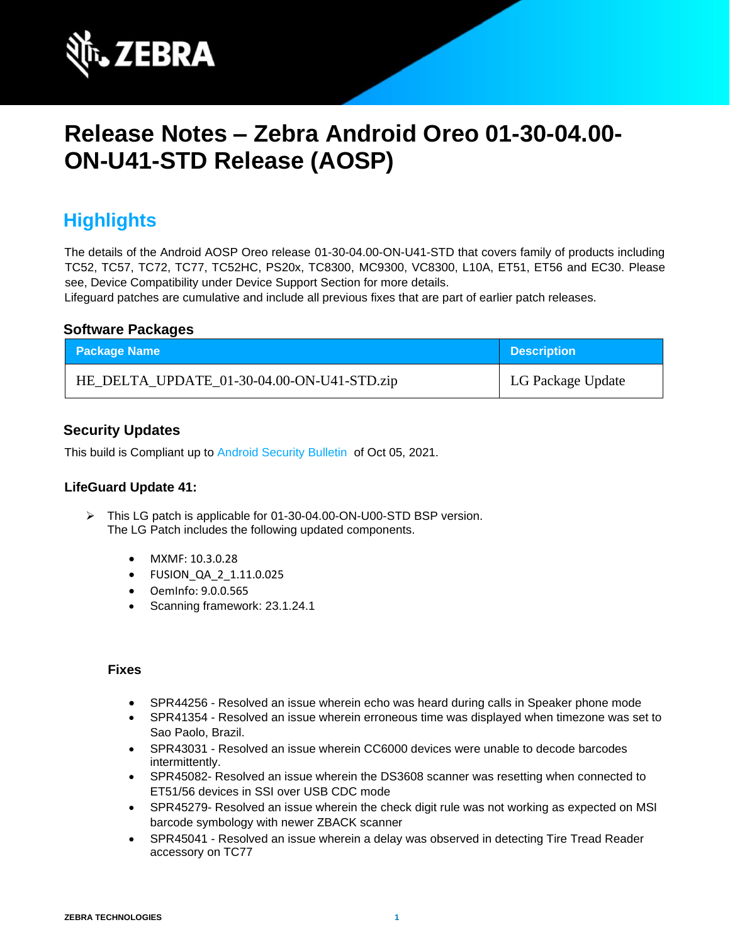

# **Release Notes – Zebra Android Oreo 01-30-04.00- ON-U41-STD Release (AOSP)**

## **Highlights**

The details of the Android AOSP Oreo release 01-30-04.00-ON-U41-STD that covers family of products including TC52, TC57, TC72, TC77, TC52HC, PS20x, TC8300, MC9300, VC8300, L10A, ET51, ET56 and EC30. Please see, Device Compatibility under Device Support Section for more details.

Lifeguard patches are cumulative and include all previous fixes that are part of earlier patch releases.

#### **Software Packages**

| <b>Package Name</b>                        | <b>Description</b> |
|--------------------------------------------|--------------------|
| HE_DELTA_UPDATE_01-30-04.00-ON-U41-STD.zip | LG Package Update  |

#### **Security Updates**

This build is Compliant up to [Android Security Bulletin](https://source.android.com/security/bulletin/) of Oct 05, 2021.

#### **LifeGuard Update 41:**

- ➢ This LG patch is applicable for 01-30-04.00-ON-U00-STD BSP version. The LG Patch includes the following updated components.
	- MXMF: 10.3.0.28
	- FUSION\_QA\_2\_1.11.0.025
	- OemInfo: 9.0.0.565
	- Scanning framework: 23.1.24.1

- SPR44256 Resolved an issue wherein echo was heard during calls in Speaker phone mode
- SPR41354 Resolved an issue wherein erroneous time was displayed when timezone was set to Sao Paolo, Brazil.
- SPR43031 Resolved an issue wherein CC6000 devices were unable to decode barcodes intermittently.
- SPR45082- Resolved an issue wherein the DS3608 scanner was resetting when connected to ET51/56 devices in SSI over USB CDC mode
- SPR45279- Resolved an issue wherein the check digit rule was not working as expected on MSI barcode symbology with newer ZBACK scanner
- SPR45041 Resolved an issue wherein a delay was observed in detecting Tire Tread Reader accessory on TC77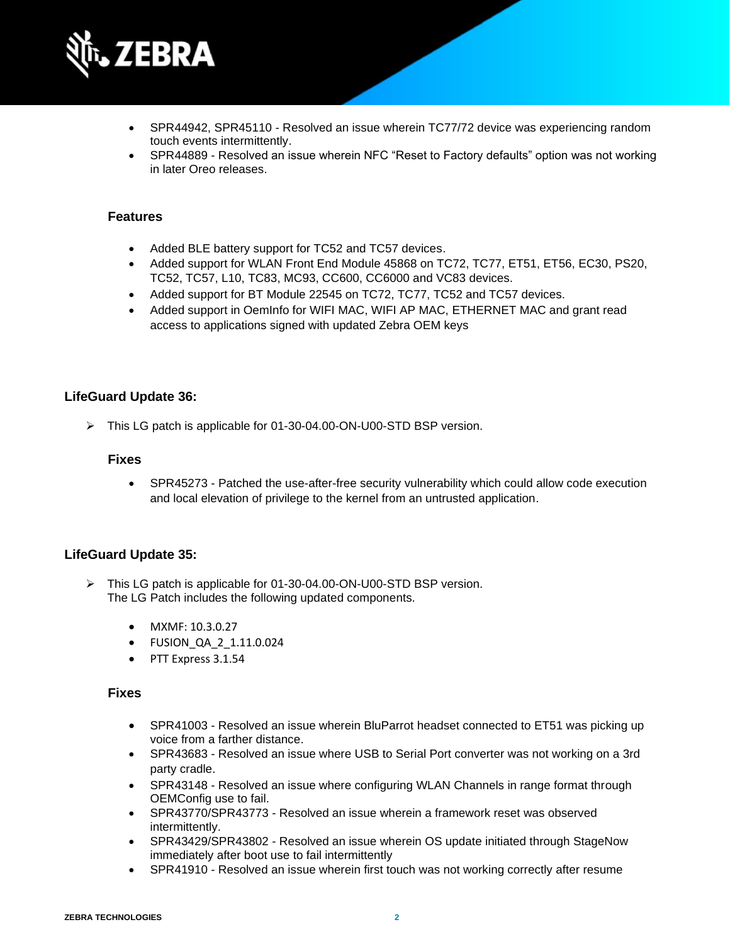

- SPR44942, SPR45110 Resolved an issue wherein TC77/72 device was experiencing random touch events intermittently.
- SPR44889 Resolved an issue wherein NFC "Reset to Factory defaults" option was not working in later Oreo releases.

- Added BLE battery support for TC52 and TC57 devices.
- Added support for WLAN Front End Module 45868 on TC72, TC77, ET51, ET56, EC30, PS20, TC52, TC57, L10, TC83, MC93, CC600, CC6000 and VC83 devices.
- Added support for BT Module 22545 on TC72, TC77, TC52 and TC57 devices.
- Added support in OemInfo for WIFI MAC, WIFI AP MAC, ETHERNET MAC and grant read access to applications signed with updated Zebra OEM keys

#### **LifeGuard Update 36:**

➢ This LG patch is applicable for 01-30-04.00-ON-U00-STD BSP version.

#### **Fixes**

• SPR45273 - Patched the use-after-free security vulnerability which could allow code execution and local elevation of privilege to the kernel from an untrusted application.

#### **LifeGuard Update 35:**

- ➢ This LG patch is applicable for 01-30-04.00-ON-U00-STD BSP version. The LG Patch includes the following updated components.
	- MXMF: 10.3.0.27
	- FUSION\_QA\_2\_1.11.0.024
	- PTT Express 3.1.54

- SPR41003 Resolved an issue wherein BluParrot headset connected to ET51 was picking up voice from a farther distance.
- SPR43683 Resolved an issue where USB to Serial Port converter was not working on a 3rd party cradle.
- SPR43148 Resolved an issue where configuring WLAN Channels in range format through OEMConfig use to fail.
- SPR43770/SPR43773 Resolved an issue wherein a framework reset was observed intermittently.
- SPR43429/SPR43802 Resolved an issue wherein OS update initiated through StageNow immediately after boot use to fail intermittently
- SPR41910 Resolved an issue wherein first touch was not working correctly after resume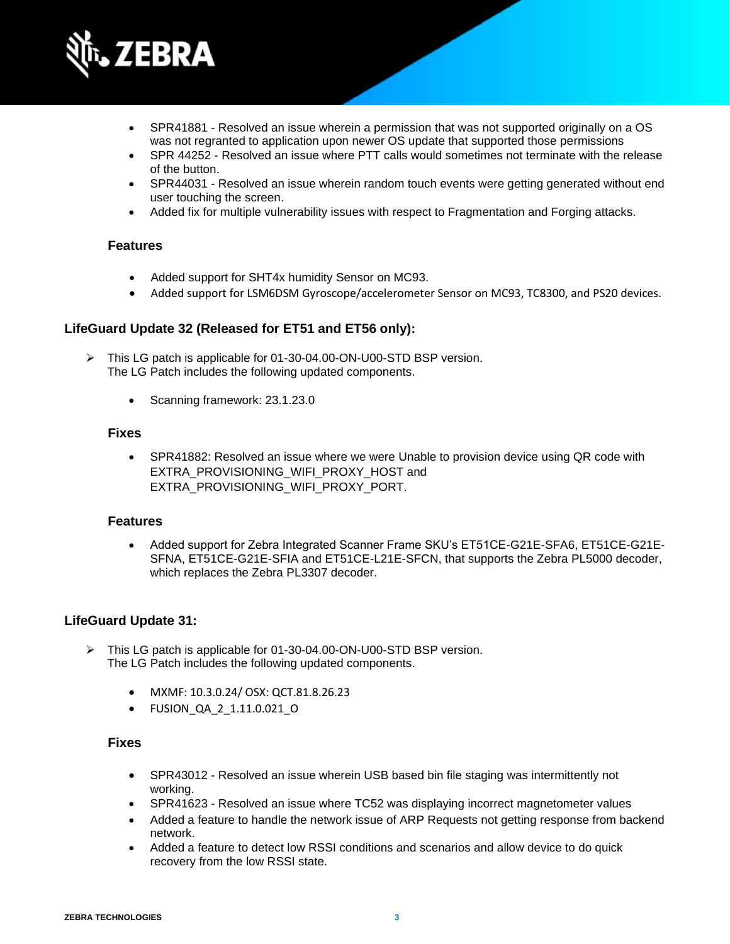

- SPR41881 Resolved an issue wherein a permission that was not supported originally on a OS was not regranted to application upon newer OS update that supported those permissions
- SPR 44252 Resolved an issue where PTT calls would sometimes not terminate with the release of the button.
- SPR44031 Resolved an issue wherein random touch events were getting generated without end user touching the screen.
- Added fix for multiple vulnerability issues with respect to Fragmentation and Forging attacks.

- Added support for SHT4x humidity Sensor on MC93.
- Added support for LSM6DSM Gyroscope/accelerometer Sensor on MC93, TC8300, and PS20 devices.

#### **LifeGuard Update 32 (Released for ET51 and ET56 only):**

- ➢ This LG patch is applicable for 01-30-04.00-ON-U00-STD BSP version. The LG Patch includes the following updated components.
	- Scanning framework: 23.1.23.0

#### **Fixes**

• SPR41882: Resolved an issue where we were Unable to provision device using QR code with EXTRA\_PROVISIONING\_WIFI\_PROXY\_HOST and EXTRA\_PROVISIONING\_WIFI\_PROXY\_PORT.

#### **Features**

• Added support for Zebra Integrated Scanner Frame SKU's ET51CE-G21E-SFA6, ET51CE-G21E-SFNA, ET51CE-G21E-SFIA and ET51CE-L21E-SFCN, that supports the Zebra PL5000 decoder, which replaces the Zebra PL3307 decoder.

#### **LifeGuard Update 31:**

- ➢ This LG patch is applicable for 01-30-04.00-ON-U00-STD BSP version. The LG Patch includes the following updated components.
	- MXMF: 10.3.0.24/ OSX: QCT.81.8.26.23
	- FUSION\_QA\_2\_1.11.0.021\_O

- SPR43012 Resolved an issue wherein USB based bin file staging was intermittently not working.
- SPR41623 Resolved an issue where TC52 was displaying incorrect magnetometer values
- Added a feature to handle the network issue of ARP Requests not getting response from backend network.
- Added a feature to detect low RSSI conditions and scenarios and allow device to do quick recovery from the low RSSI state.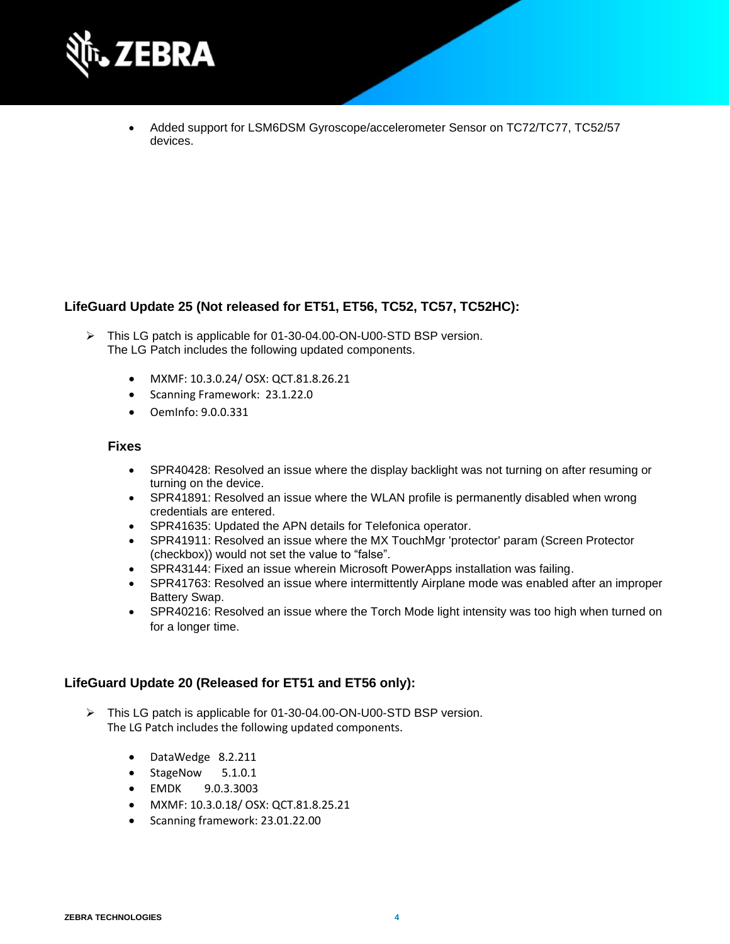

• Added support for LSM6DSM Gyroscope/accelerometer Sensor on TC72/TC77, TC52/57 devices.

#### **LifeGuard Update 25 (Not released for ET51, ET56, TC52, TC57, TC52HC):**

- ➢ This LG patch is applicable for 01-30-04.00-ON-U00-STD BSP version. The LG Patch includes the following updated components.
	- MXMF: 10.3.0.24/ OSX: QCT.81.8.26.21
	- Scanning Framework: 23.1.22.0
	- OemInfo: 9.0.0.331

#### **Fixes**

- SPR40428: Resolved an issue where the display backlight was not turning on after resuming or turning on the device.
- SPR41891: Resolved an issue where the WLAN profile is permanently disabled when wrong credentials are entered.
- SPR41635: Updated the APN details for Telefonica operator.
- SPR41911: Resolved an issue where the MX TouchMgr 'protector' param (Screen Protector (checkbox)) would not set the value to "false".
- SPR43144: Fixed an issue wherein Microsoft PowerApps installation was failing.
- SPR41763: Resolved an issue where intermittently Airplane mode was enabled after an improper Battery Swap.
- SPR40216: Resolved an issue where the Torch Mode light intensity was too high when turned on for a longer time.

#### **LifeGuard Update 20 (Released for ET51 and ET56 only):**

- ➢ This LG patch is applicable for 01-30-04.00-ON-U00-STD BSP version. The LG Patch includes the following updated components.
	- DataWedge 8.2.211
	- StageNow 5.1.0.1
	- EMDK 9.0.3.3003
	- MXMF: 10.3.0.18/ OSX: QCT.81.8.25.21
	- Scanning framework: 23.01.22.00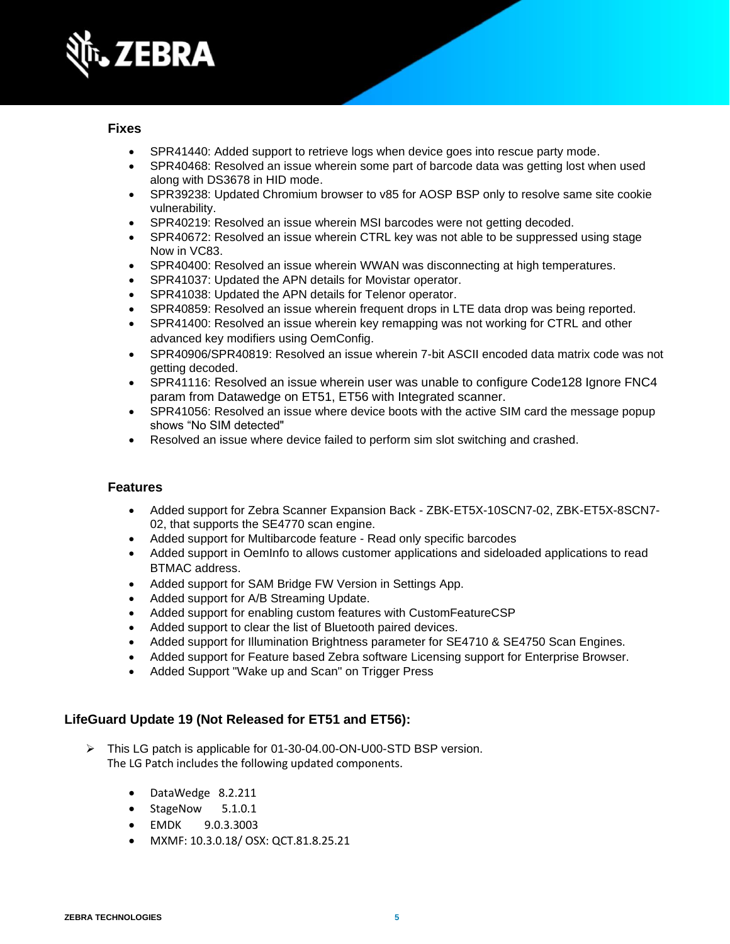

- SPR41440: Added support to retrieve logs when device goes into rescue party mode.
- SPR40468: Resolved an issue wherein some part of barcode data was getting lost when used along with DS3678 in HID mode.
- SPR39238: Updated Chromium browser to v85 for AOSP BSP only to resolve same site cookie vulnerability.
- SPR40219: Resolved an issue wherein MSI barcodes were not getting decoded.
- SPR40672: Resolved an issue wherein CTRL key was not able to be suppressed using stage Now in VC83.
- SPR40400: Resolved an issue wherein WWAN was disconnecting at high temperatures.
- SPR41037: Updated the APN details for Movistar operator.
- SPR41038: Updated the APN details for Telenor operator.
- SPR40859: Resolved an issue wherein frequent drops in LTE data drop was being reported.
- SPR41400: Resolved an issue wherein key remapping was not working for CTRL and other advanced key modifiers using OemConfig.
- SPR40906/SPR40819: Resolved an issue wherein 7-bit ASCII encoded data matrix code was not getting decoded.
- SPR41116: Resolved an issue wherein user was unable to configure Code128 Ignore FNC4 param from Datawedge on ET51, ET56 with Integrated scanner.
- SPR41056: Resolved an issue where device boots with the active SIM card the message popup shows "No SIM detected"
- Resolved an issue where device failed to perform sim slot switching and crashed.

#### **Features**

- Added support for Zebra Scanner Expansion Back ZBK-ET5X-10SCN7-02, ZBK-ET5X-8SCN7- 02, that supports the SE4770 scan engine.
- Added support for Multibarcode feature Read only specific barcodes
- Added support in OemInfo to allows customer applications and sideloaded applications to read BTMAC address.
- Added support for SAM Bridge FW Version in Settings App.
- Added support for A/B Streaming Update.
- Added support for enabling custom features with CustomFeatureCSP
- Added support to clear the list of Bluetooth paired devices.
- Added support for Illumination Brightness parameter for SE4710 & SE4750 Scan Engines.
- Added support for Feature based Zebra software Licensing support for Enterprise Browser.
- Added Support "Wake up and Scan" on Trigger Press

#### **LifeGuard Update 19 (Not Released for ET51 and ET56):**

- ➢ This LG patch is applicable for 01-30-04.00-ON-U00-STD BSP version. The LG Patch includes the following updated components.
	- DataWedge 8.2.211
	- StageNow 5.1.0.1
	- EMDK 9.0.3.3003
	- MXMF: 10.3.0.18/ OSX: QCT.81.8.25.21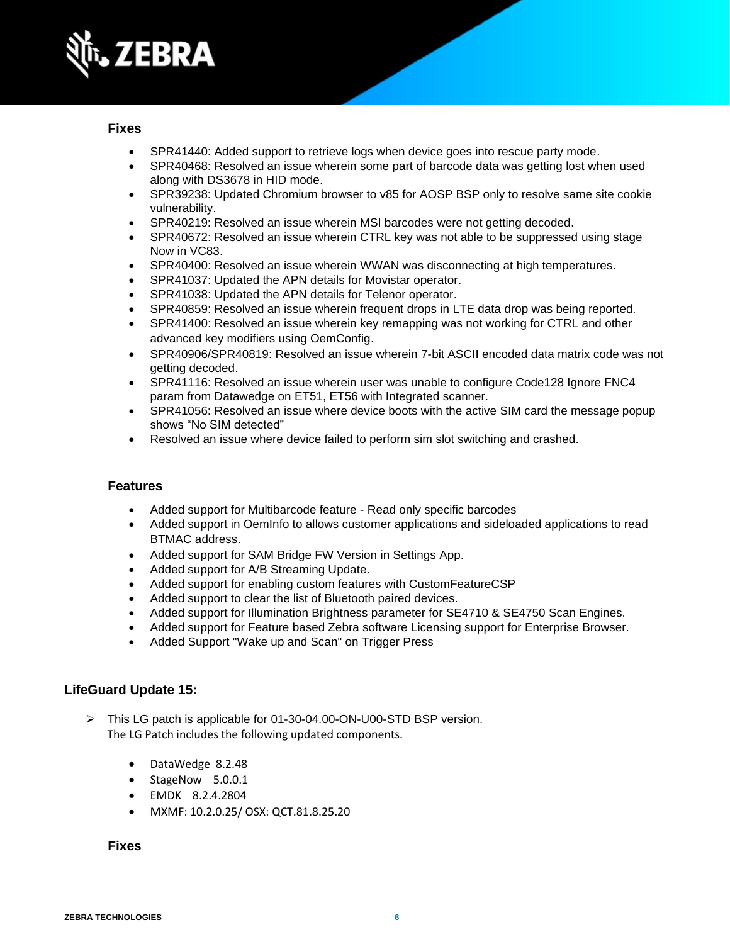

- SPR41440: Added support to retrieve logs when device goes into rescue party mode.
- SPR40468: Resolved an issue wherein some part of barcode data was getting lost when used along with DS3678 in HID mode.
- SPR39238: Updated Chromium browser to v85 for AOSP BSP only to resolve same site cookie vulnerability.
- SPR40219: Resolved an issue wherein MSI barcodes were not getting decoded.
- SPR40672: Resolved an issue wherein CTRL key was not able to be suppressed using stage Now in VC83.
- SPR40400: Resolved an issue wherein WWAN was disconnecting at high temperatures.
- SPR41037: Updated the APN details for Movistar operator.
- SPR41038: Updated the APN details for Telenor operator.
- SPR40859: Resolved an issue wherein frequent drops in LTE data drop was being reported.
- SPR41400: Resolved an issue wherein key remapping was not working for CTRL and other advanced key modifiers using OemConfig.
- SPR40906/SPR40819: Resolved an issue wherein 7-bit ASCII encoded data matrix code was not getting decoded.
- SPR41116: Resolved an issue wherein user was unable to configure Code128 Ignore FNC4 param from Datawedge on ET51, ET56 with Integrated scanner.
- SPR41056: Resolved an issue where device boots with the active SIM card the message popup shows "No SIM detected"
- Resolved an issue where device failed to perform sim slot switching and crashed.

#### **Features**

- Added support for Multibarcode feature Read only specific barcodes
- Added support in OemInfo to allows customer applications and sideloaded applications to read BTMAC address.
- Added support for SAM Bridge FW Version in Settings App.
- Added support for A/B Streaming Update.
- Added support for enabling custom features with CustomFeatureCSP
- Added support to clear the list of Bluetooth paired devices.
- Added support for Illumination Brightness parameter for SE4710 & SE4750 Scan Engines.
- Added support for Feature based Zebra software Licensing support for Enterprise Browser.
- Added Support "Wake up and Scan" on Trigger Press

#### **LifeGuard Update 15:**

- ➢ This LG patch is applicable for 01-30-04.00-ON-U00-STD BSP version. The LG Patch includes the following updated components.
	- DataWedge 8.2.48
	- StageNow 5.0.0.1
	- EMDK 8.2.4.2804
	- MXMF: 10.2.0.25/ OSX: QCT.81.8.25.20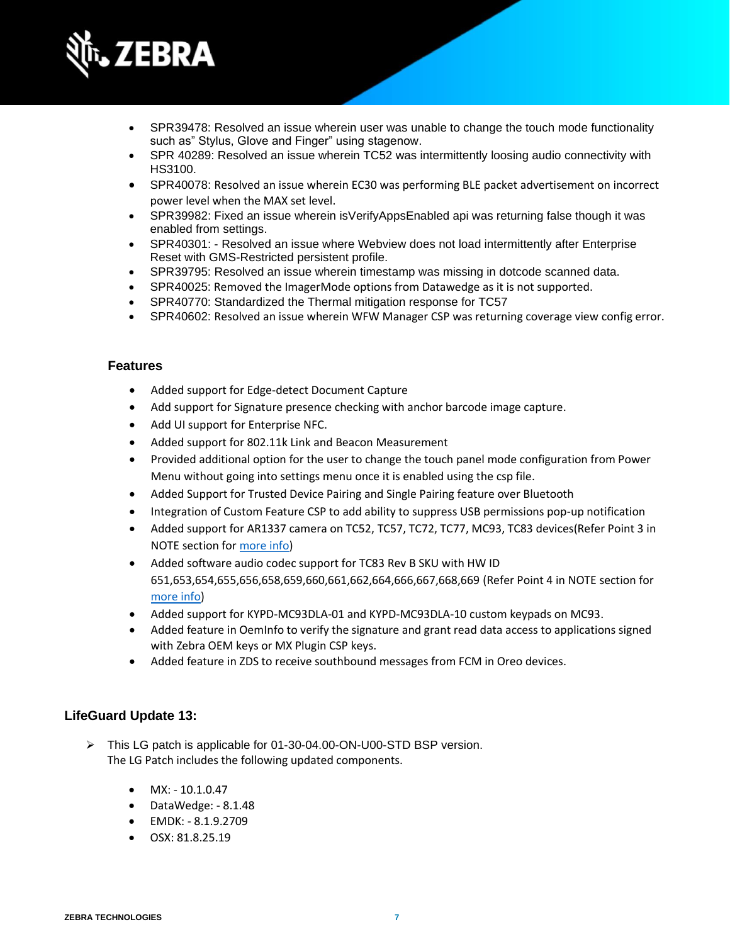

- SPR39478: Resolved an issue wherein user was unable to change the touch mode functionality such as" Stylus, Glove and Finger" using stagenow.
- SPR 40289: Resolved an issue wherein TC52 was intermittently loosing audio connectivity with HS3100.
- SPR40078: Resolved an issue wherein EC30 was performing BLE packet advertisement on incorrect power level when the MAX set level.
- SPR39982: Fixed an issue wherein isVerifyAppsEnabled api was returning false though it was enabled from settings.
- SPR40301: Resolved an issue where Webview does not load intermittently after Enterprise Reset with GMS-Restricted persistent profile.
- SPR39795: Resolved an issue wherein timestamp was missing in dotcode scanned data.
- SPR40025: Removed the ImagerMode options from Datawedge as it is not supported.
- SPR40770: Standardized the Thermal mitigation response for TC57
- SPR40602: Resolved an issue wherein WFW Manager CSP was returning coverage view config error.

- Added support for Edge-detect Document Capture
- Add support for Signature presence checking with anchor barcode image capture.
- Add UI support for Enterprise NFC.
- Added support for 802.11k Link and Beacon Measurement
- Provided additional option for the user to change the touch panel mode configuration from Power Menu without going into settings menu once it is enabled using the csp file.
- Added Support for Trusted Device Pairing and Single Pairing feature over Bluetooth
- Integration of Custom Feature CSP to add ability to suppress USB permissions pop-up notification
- Added support for AR1337 camera on TC52, TC57, TC72, TC77, MC93, TC83 devices(Refer Point 3 in NOTE section for [more info\)](#page-11-0)
- Added software audio codec support for TC83 Rev B SKU with HW ID 651,653,654,655,656,658,659,660,661,662,664,666,667,668,669 (Refer Point 4 in NOTE section for [more info\)](#page-11-0)
- Added support for KYPD-MC93DLA-01 and KYPD-MC93DLA-10 custom keypads on MC93.
- Added feature in OemInfo to verify the signature and grant read data access to applications signed with Zebra OEM keys or MX Plugin CSP keys.
- Added feature in ZDS to receive southbound messages from FCM in Oreo devices.

#### **LifeGuard Update 13:**

- ➢ This LG patch is applicable for 01-30-04.00-ON-U00-STD BSP version. The LG Patch includes the following updated components.
	- $MX: -10.1.0.47$
	- DataWedge: 8.1.48
	- EMDK: 8.1.9.2709
	- OSX: 81.8.25.19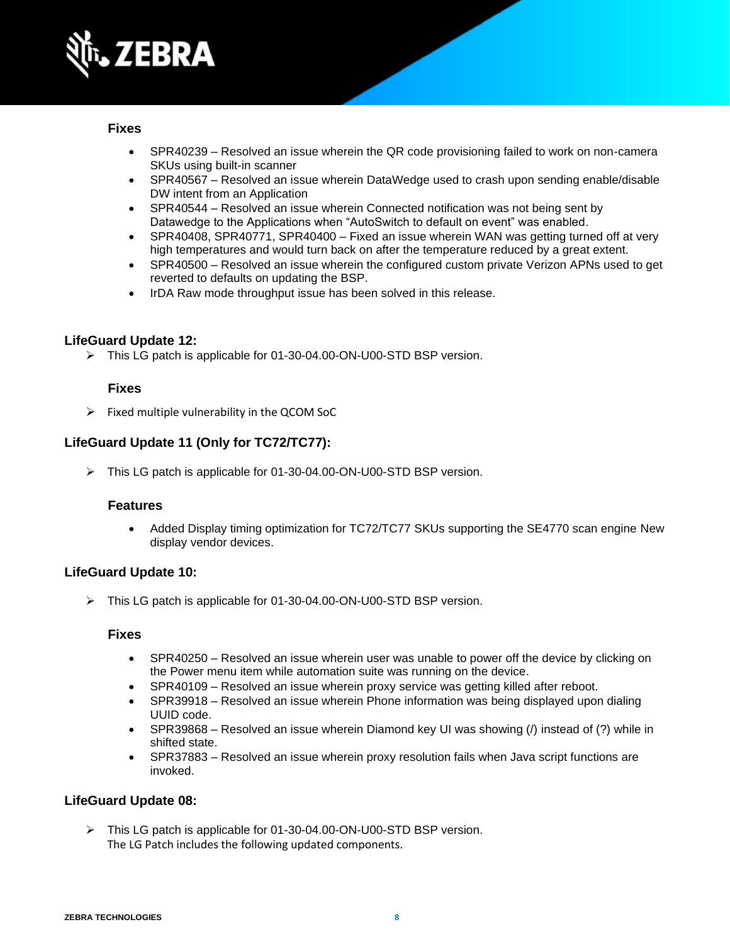

- SPR40239 Resolved an issue wherein the QR code provisioning failed to work on non-camera SKUs using built-in scanner
- SPR40567 Resolved an issue wherein DataWedge used to crash upon sending enable/disable DW intent from an Application
- SPR40544 Resolved an issue wherein Connected notification was not being sent by Datawedge to the Applications when "AutoSwitch to default on event" was enabled.
- SPR40408, SPR40771, SPR40400 Fixed an issue wherein WAN was getting turned off at very high temperatures and would turn back on after the temperature reduced by a great extent.
- SPR40500 Resolved an issue wherein the configured custom private Verizon APNs used to get reverted to defaults on updating the BSP.
- IrDA Raw mode throughput issue has been solved in this release.

#### **LifeGuard Update 12:**

➢ This LG patch is applicable for 01-30-04.00-ON-U00-STD BSP version.

#### **Fixes**

 $\triangleright$  Fixed multiple vulnerability in the QCOM SoC

#### **LifeGuard Update 11 (Only for TC72/TC77):**

➢ This LG patch is applicable for 01-30-04.00-ON-U00-STD BSP version.

#### **Features**

• Added Display timing optimization for TC72/TC77 SKUs supporting the SE4770 scan engine New display vendor devices.

#### **LifeGuard Update 10:**

➢ This LG patch is applicable for 01-30-04.00-ON-U00-STD BSP version.

#### **Fixes**

- SPR40250 Resolved an issue wherein user was unable to power off the device by clicking on the Power menu item while automation suite was running on the device.
- SPR40109 Resolved an issue wherein proxy service was getting killed after reboot.
- SPR39918 Resolved an issue wherein Phone information was being displayed upon dialing UUID code.
- SPR39868 Resolved an issue wherein Diamond key UI was showing (/) instead of (?) while in shifted state.
- SPR37883 Resolved an issue wherein proxy resolution fails when Java script functions are invoked.

#### **LifeGuard Update 08:**

➢ This LG patch is applicable for 01-30-04.00-ON-U00-STD BSP version. The LG Patch includes the following updated components.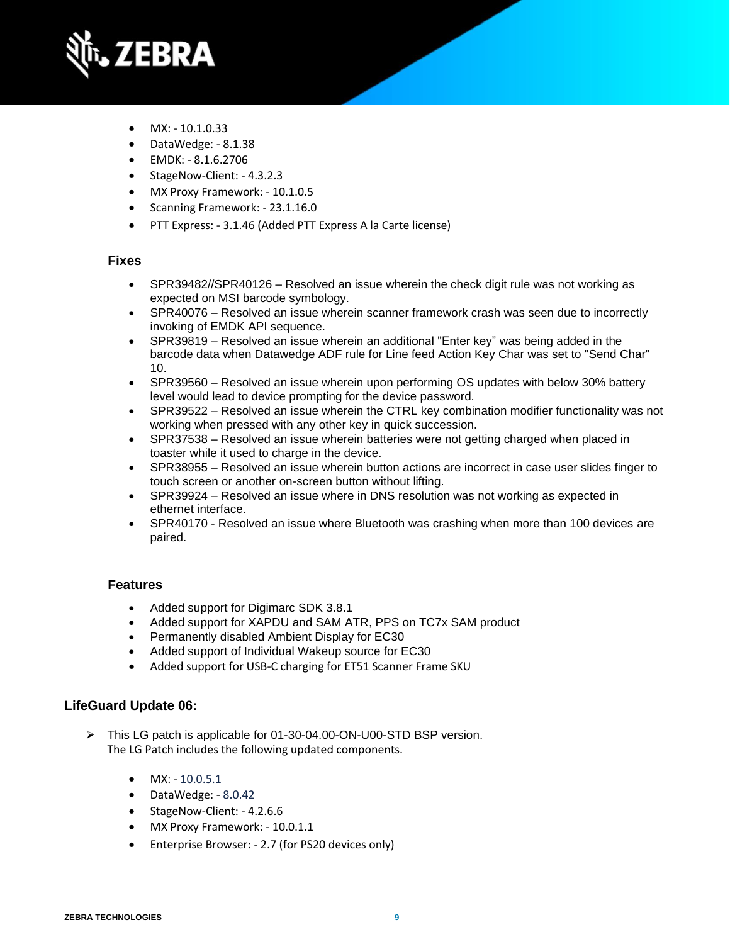

- $MX: -10.1.0.33$
- DataWedge: 8.1.38
- EMDK: 8.1.6.2706
- StageNow-Client: 4.3.2.3
- MX Proxy Framework: 10.1.0.5
- Scanning Framework: 23.1.16.0
- PTT Express: 3.1.46 (Added PTT Express A la Carte license)

- SPR39482//SPR40126 Resolved an issue wherein the check digit rule was not working as expected on MSI barcode symbology.
- SPR40076 Resolved an issue wherein scanner framework crash was seen due to incorrectly invoking of EMDK API sequence.
- SPR39819 Resolved an issue wherein an additional "Enter key" was being added in the barcode data when Datawedge ADF rule for Line feed Action Key Char was set to "Send Char" 10.
- SPR39560 Resolved an issue wherein upon performing OS updates with below 30% battery level would lead to device prompting for the device password.
- SPR39522 Resolved an issue wherein the CTRL key combination modifier functionality was not working when pressed with any other key in quick succession.
- SPR37538 Resolved an issue wherein batteries were not getting charged when placed in toaster while it used to charge in the device.
- SPR38955 Resolved an issue wherein button actions are incorrect in case user slides finger to touch screen or another on-screen button without lifting.
- SPR39924 Resolved an issue where in DNS resolution was not working as expected in ethernet interface.
- SPR40170 Resolved an issue where Bluetooth was crashing when more than 100 devices are paired.

#### **Features**

- Added support for Digimarc SDK 3.8.1
- Added support for XAPDU and SAM ATR, PPS on TC7x SAM product
- Permanently disabled Ambient Display for EC30
- Added support of Individual Wakeup source for EC30
- Added support for USB-C charging for ET51 Scanner Frame SKU

#### **LifeGuard Update 06:**

- ➢ This LG patch is applicable for 01-30-04.00-ON-U00-STD BSP version. The LG Patch includes the following updated components.
	- $MX: -10.0.5.1$
	- DataWedge: 8.0.42
	- StageNow-Client: 4.2.6.6
	- MX Proxy Framework: 10.0.1.1
	- Enterprise Browser: 2.7 (for PS20 devices only)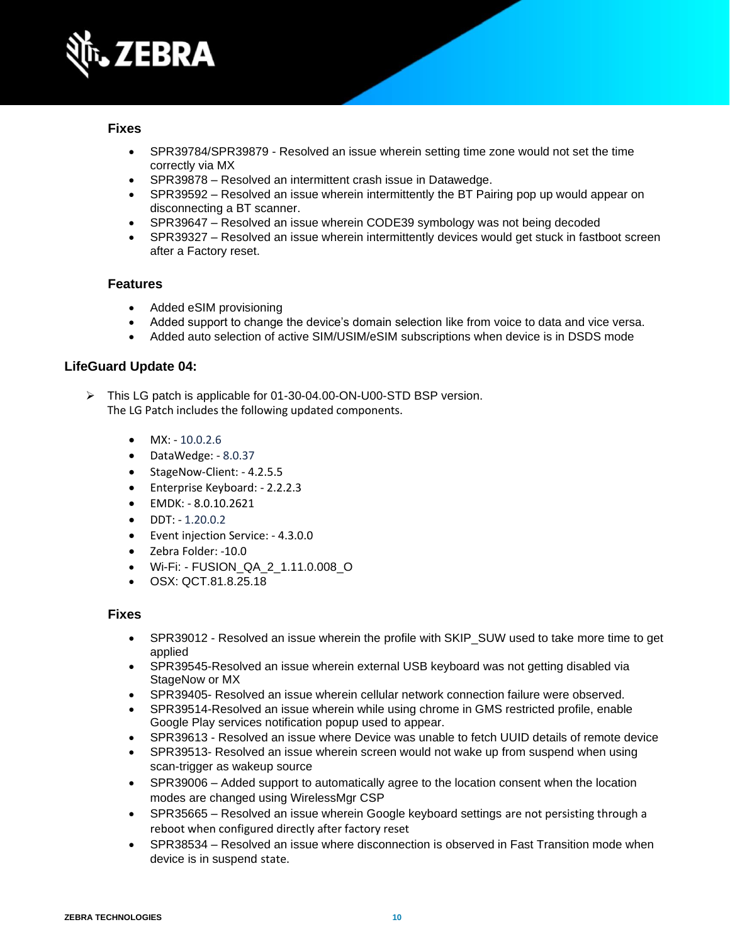

- SPR39784/SPR39879 Resolved an issue wherein setting time zone would not set the time correctly via MX
- SPR39878 Resolved an intermittent crash issue in Datawedge.
- SPR39592 Resolved an issue wherein intermittently the BT Pairing pop up would appear on disconnecting a BT scanner.
- SPR39647 Resolved an issue wherein CODE39 symbology was not being decoded
- SPR39327 Resolved an issue wherein intermittently devices would get stuck in fastboot screen after a Factory reset.

#### **Features**

- Added eSIM provisioning
- Added support to change the device's domain selection like from voice to data and vice versa.
- Added auto selection of active SIM/USIM/eSIM subscriptions when device is in DSDS mode

#### **LifeGuard Update 04:**

- ➢ This LG patch is applicable for 01-30-04.00-ON-U00-STD BSP version. The LG Patch includes the following updated components.
	- $MX: -10.0.2.6$
	- DataWedge: 8.0.37
	- StageNow-Client: 4.2.5.5
	- Enterprise Keyboard: 2.2.2.3
	- EMDK: 8.0.10.2621
	- DDT: 1.20.0.2
	- Event injection Service: 4.3.0.0
	- Zebra Folder: -10.0
	- Wi-Fi: FUSION\_QA\_2\_1.11.0.008\_O
	- OSX: QCT.81.8.25.18

- SPR39012 Resolved an issue wherein the profile with SKIP SUW used to take more time to get applied
- SPR39545-Resolved an issue wherein external USB keyboard was not getting disabled via StageNow or MX
- SPR39405- Resolved an issue wherein cellular network connection failure were observed.
- SPR39514-Resolved an issue wherein while using chrome in GMS restricted profile, enable Google Play services notification popup used to appear.
- SPR39613 Resolved an issue where Device was unable to fetch UUID details of remote device
- SPR39513- Resolved an issue wherein screen would not wake up from suspend when using scan-trigger as wakeup source
- SPR39006 Added support to automatically agree to the location consent when the location modes are changed using WirelessMgr CSP
- SPR35665 Resolved an issue wherein Google keyboard settings are not persisting through a reboot when configured directly after factory reset
- SPR38534 Resolved an issue where disconnection is observed in Fast Transition mode when device is in suspend state.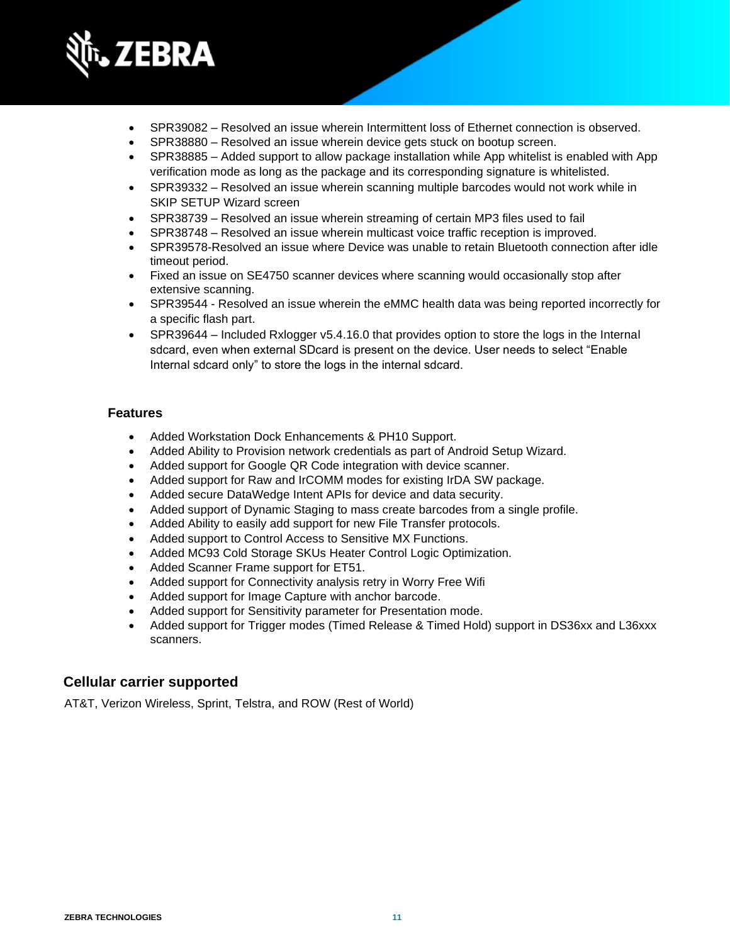

- SPR39082 Resolved an issue wherein Intermittent loss of Ethernet connection is observed.
- SPR38880 Resolved an issue wherein device gets stuck on bootup screen.
- SPR38885 Added support to allow package installation while App whitelist is enabled with App verification mode as long as the package and its corresponding signature is whitelisted.
- SPR39332 Resolved an issue wherein scanning multiple barcodes would not work while in SKIP SETUP Wizard screen
- SPR38739 Resolved an issue wherein streaming of certain MP3 files used to fail
- SPR38748 Resolved an issue wherein multicast voice traffic reception is improved.
- SPR39578-Resolved an issue where Device was unable to retain Bluetooth connection after idle timeout period.
- Fixed an issue on SE4750 scanner devices where scanning would occasionally stop after extensive scanning.
- SPR39544 Resolved an issue wherein the eMMC health data was being reported incorrectly for a specific flash part.
- SPR39644 Included Rxlogger v5.4.16.0 that provides option to store the logs in the Internal sdcard, even when external SDcard is present on the device. User needs to select "Enable Internal sdcard only" to store the logs in the internal sdcard.

- Added Workstation Dock Enhancements & PH10 Support.
- Added Ability to Provision network credentials as part of Android Setup Wizard.
- Added support for Google QR Code integration with device scanner.
- Added support for Raw and IrCOMM modes for existing IrDA SW package.
- Added secure DataWedge Intent APIs for device and data security.
- Added support of Dynamic Staging to mass create barcodes from a single profile.
- Added Ability to easily add support for new File Transfer protocols.
- Added support to Control Access to Sensitive MX Functions.
- Added MC93 Cold Storage SKUs Heater Control Logic Optimization.
- Added Scanner Frame support for ET51.
- Added support for Connectivity analysis retry in Worry Free Wifi
- Added support for Image Capture with anchor barcode.
- Added support for Sensitivity parameter for Presentation mode.
- Added support for Trigger modes (Timed Release & Timed Hold) support in DS36xx and L36xxx scanners.

#### **Cellular carrier supported**

AT&T, Verizon Wireless, Sprint, Telstra, and ROW (Rest of World)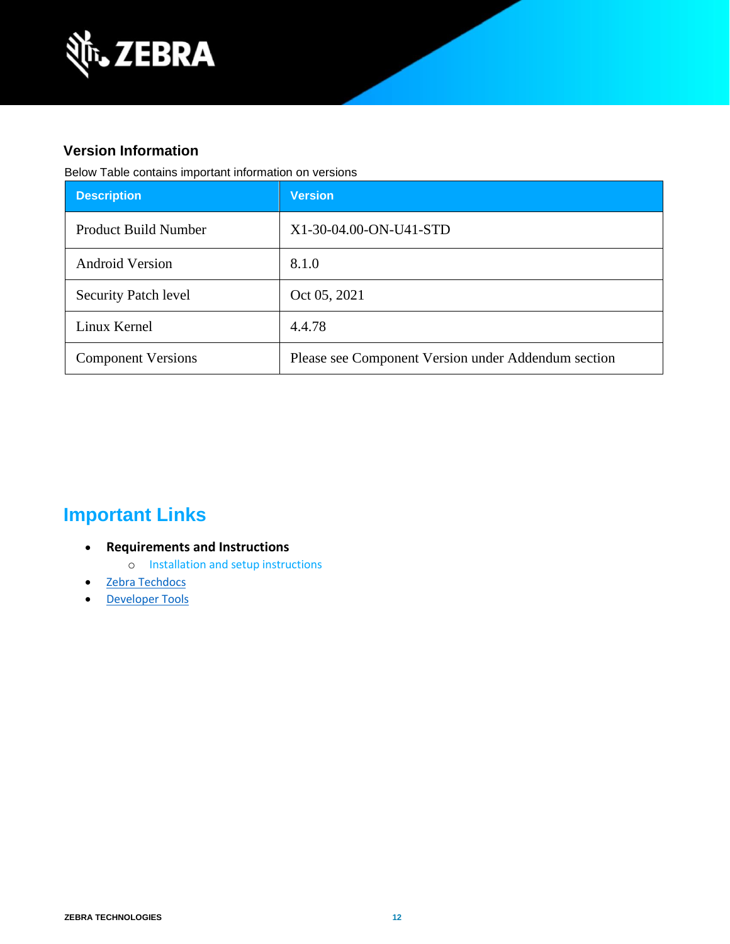

### **Version Information**

Below Table contains important information on versions

| <b>Description</b>          | <b>Version</b>                                      |
|-----------------------------|-----------------------------------------------------|
| <b>Product Build Number</b> | X1-30-04.00-ON-U41-STD                              |
| <b>Android Version</b>      | 8.1.0                                               |
| <b>Security Patch level</b> | Oct 05, 2021                                        |
| Linux Kernel                | 4.4.78                                              |
| <b>Component Versions</b>   | Please see Component Version under Addendum section |

## **Important Links**

- **Requirements and Instructions** 
	- o [Installation and setup instructions](https://www.zebra.com/content/dam/zebra_new_ia/en-us/software/operating-system/helios/oreo-os-update-instructions.pdf)
- [Zebra Techdocs](https://techdocs.zebra.com/)
- <span id="page-11-0"></span>• [Developer Tools](https://developer.zebra.com/)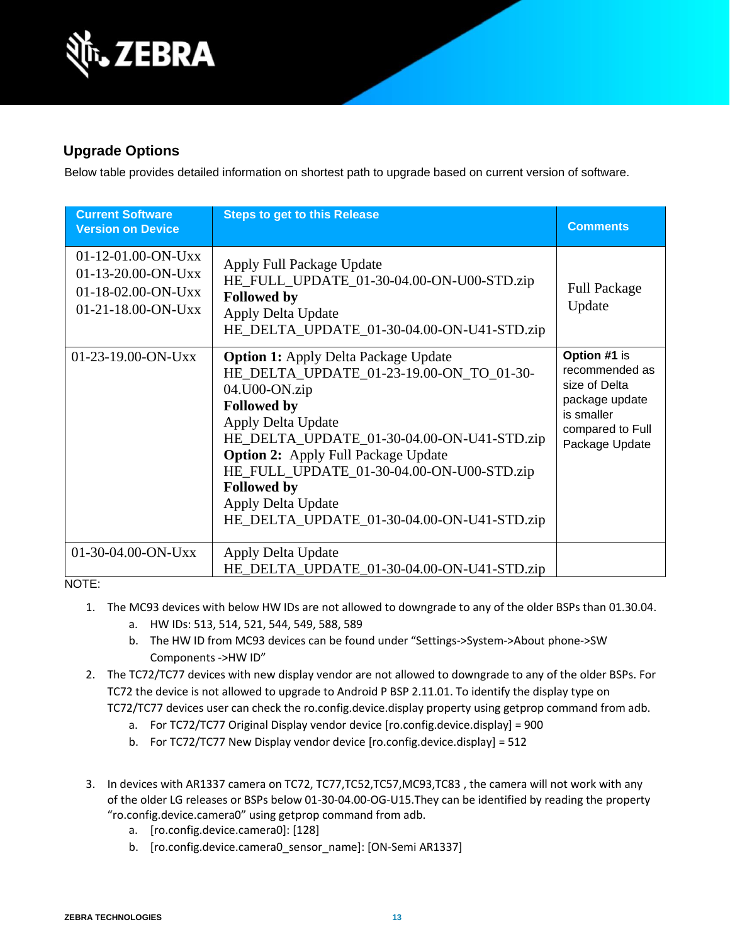

### **Upgrade Options**

Below table provides detailed information on shortest path to upgrade based on current version of software.

| <b>Current Software</b><br><b>Version on Device</b>                                    | <b>Steps to get to this Release</b>                                                                                                                                                                                                                                                                                                                                                     | <b>Comments</b>                                                                                                       |
|----------------------------------------------------------------------------------------|-----------------------------------------------------------------------------------------------------------------------------------------------------------------------------------------------------------------------------------------------------------------------------------------------------------------------------------------------------------------------------------------|-----------------------------------------------------------------------------------------------------------------------|
| $01-12-01.00-ON-Uxx$<br>01-13-20.00-ON-Uxx<br>01-18-02.00-ON-Uxx<br>01-21-18.00-ON-Uxx | Apply Full Package Update<br>HE_FULL_UPDATE_01-30-04.00-ON-U00-STD.zip<br><b>Followed by</b><br>Apply Delta Update<br>HE_DELTA_UPDATE_01-30-04.00-ON-U41-STD.zip                                                                                                                                                                                                                        | <b>Full Package</b><br>Update                                                                                         |
| $01-23-19.00-ON-Uxx$                                                                   | <b>Option 1: Apply Delta Package Update</b><br>HE_DELTA_UPDATE_01-23-19.00-ON_TO_01-30-<br>04.U00-ON.zip<br><b>Followed by</b><br>Apply Delta Update<br>HE_DELTA_UPDATE_01-30-04.00-ON-U41-STD.zip<br><b>Option 2:</b> Apply Full Package Update<br>HE_FULL_UPDATE_01-30-04.00-ON-U00-STD.zip<br><b>Followed by</b><br>Apply Delta Update<br>HE_DELTA_UPDATE_01-30-04.00-ON-U41-STD.zip | Option #1 is<br>recommended as<br>size of Delta<br>package update<br>is smaller<br>compared to Full<br>Package Update |
| $01-30-04.00-ON-Uxx$                                                                   | Apply Delta Update<br>HE_DELTA_UPDATE_01-30-04.00-ON-U41-STD.zip                                                                                                                                                                                                                                                                                                                        |                                                                                                                       |

NOTE:

- 1. The MC93 devices with below HW IDs are not allowed to downgrade to any of the older BSPs than 01.30.04.
	- a. HW IDs: 513, 514, 521, 544, 549, 588, 589
	- b. The HW ID from MC93 devices can be found under "Settings->System->About phone->SW Components ->HW ID"
- 2. The TC72/TC77 devices with new display vendor are not allowed to downgrade to any of the older BSPs. For TC72 the device is not allowed to upgrade to Android P BSP 2.11.01. To identify the display type on TC72/TC77 devices user can check the ro.config.device.display property using getprop command from adb.
	- a. For TC72/TC77 Original Display vendor device [ro.config.device.display] = 900
	- b. For TC72/TC77 New Display vendor device [ro.config.device.display] = 512
- 3. In devices with AR1337 camera on TC72, TC77,TC52,TC57,MC93,TC83 , the camera will not work with any of the older LG releases or BSPs below 01-30-04.00-OG-U15.They can be identified by reading the property "ro.config.device.camera0" using getprop command from adb.
	- a. [ro.config.device.camera0]: [128]
	- b. [ro.config.device.camera0\_sensor\_name]: [ON-Semi AR1337]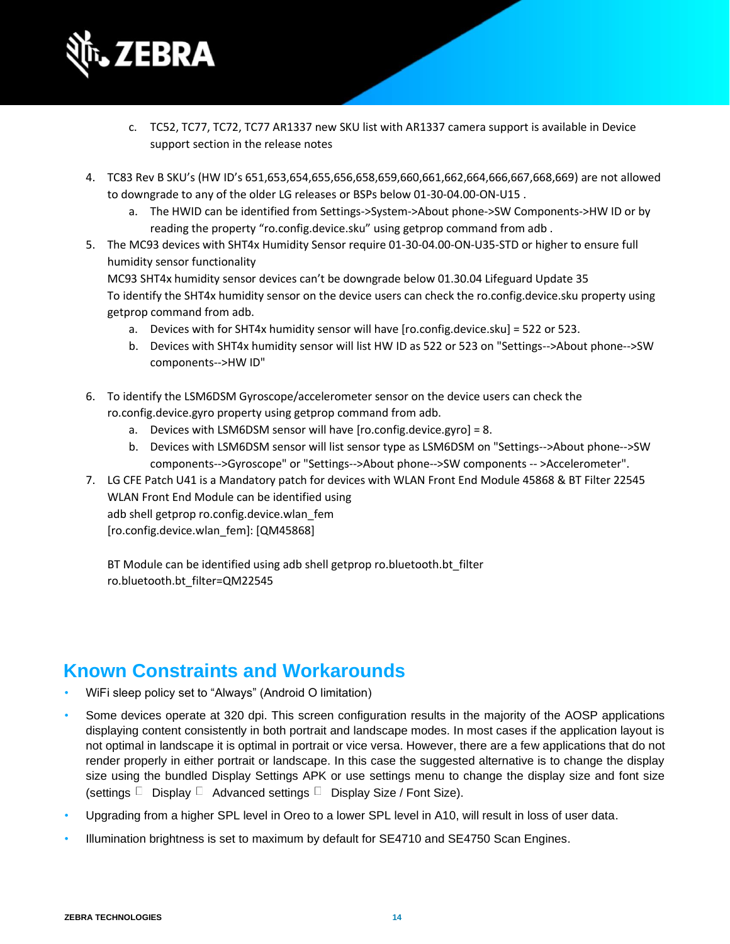

- c. TC52, TC77, TC72, TC77 AR1337 new SKU list with AR1337 camera support is available in Device support section in the release notes
- 4. TC83 Rev B SKU's (HW ID's 651,653,654,655,656,658,659,660,661,662,664,666,667,668,669) are not allowed to downgrade to any of the older LG releases or BSPs below 01-30-04.00-ON-U15 .
	- a. The HWID can be identified from Settings->System->About phone->SW Components->HW ID or by reading the property "ro.config.device.sku" using getprop command from adb .
- 5. The MC93 devices with SHT4x Humidity Sensor require 01-30-04.00-ON-U35-STD or higher to ensure full humidity sensor functionality

MC93 SHT4x humidity sensor devices can't be downgrade below 01.30.04 Lifeguard Update 35 To identify the SHT4x humidity sensor on the device users can check the ro.config.device.sku property using getprop command from adb.

- a. Devices with for SHT4x humidity sensor will have [ro.config.device.sku] = 522 or 523.
- b. Devices with SHT4x humidity sensor will list HW ID as 522 or 523 on "Settings-->About phone-->SW components-->HW ID"
- 6. To identify the LSM6DSM Gyroscope/accelerometer sensor on the device users can check the ro.config.device.gyro property using getprop command from adb.
	- a. Devices with LSM6DSM sensor will have [ro.config.device.gyro] = 8.
	- b. Devices with LSM6DSM sensor will list sensor type as LSM6DSM on "Settings-->About phone-->SW components-->Gyroscope" or "Settings-->About phone-->SW components -- >Accelerometer".
- 7. LG CFE Patch U41 is a Mandatory patch for devices with WLAN Front End Module 45868 & BT Filter 22545 WLAN Front End Module can be identified using adb shell getprop ro.config.device.wlan\_fem [ro.config.device.wlan\_fem]: [QM45868]

BT Module can be identified using adb shell getprop ro.bluetooth.bt\_filter ro.bluetooth.bt\_filter=QM22545

## **Known Constraints and Workarounds**

- WiFi sleep policy set to "Always" (Android O limitation)
- Some devices operate at 320 dpi. This screen configuration results in the majority of the AOSP applications displaying content consistently in both portrait and landscape modes. In most cases if the application layout is not optimal in landscape it is optimal in portrait or vice versa. However, there are a few applications that do not render properly in either portrait or landscape. In this case the suggested alternative is to change the display size using the bundled Display Settings APK or use settings menu to change the display size and font size (settings  $\Box$  Display  $\Box$  Advanced settings  $\Box$  Display Size / Font Size).
- Upgrading from a higher SPL level in Oreo to a lower SPL level in A10, will result in loss of user data.
- Illumination brightness is set to maximum by default for SE4710 and SE4750 Scan Engines.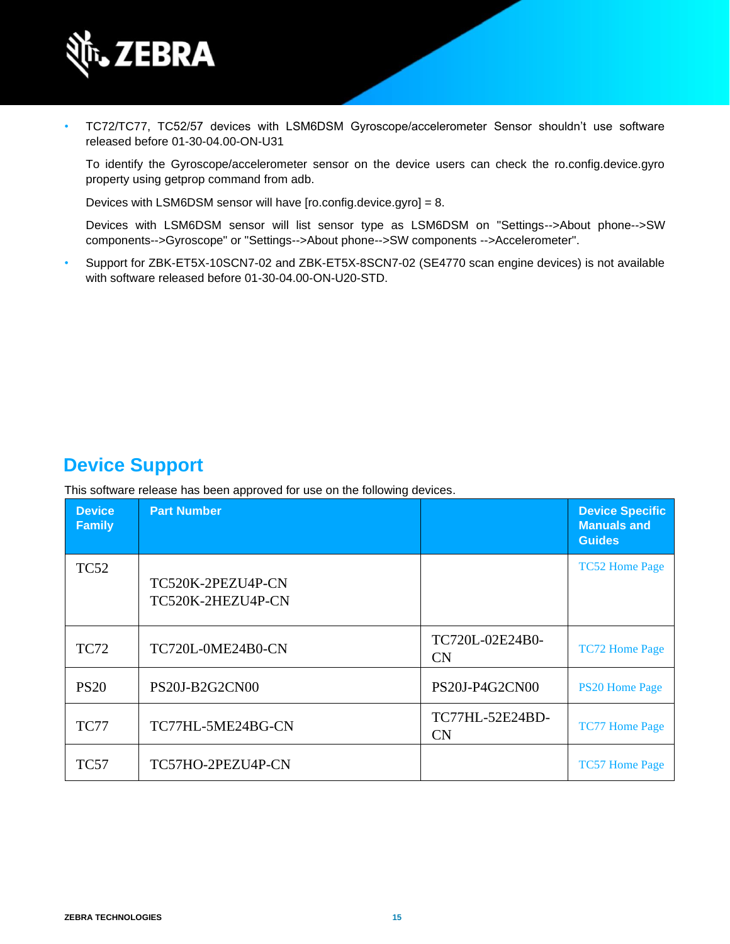

• TC72/TC77, TC52/57 devices with LSM6DSM Gyroscope/accelerometer Sensor shouldn't use software released before 01-30-04.00-ON-U31

To identify the Gyroscope/accelerometer sensor on the device users can check the ro.config.device.gyro property using getprop command from adb.

Devices with LSM6DSM sensor will have [ro.config.device.gyro] = 8.

Devices with LSM6DSM sensor will list sensor type as LSM6DSM on "Settings-->About phone-->SW components-->Gyroscope" or "Settings-->About phone-->SW components -->Accelerometer".

• Support for ZBK-ET5X-10SCN7-02 and ZBK-ET5X-8SCN7-02 (SE4770 scan engine devices) is not available with software released before 01-30-04.00-ON-U20-STD.

## **Device Support**

This software release has been approved for use on the following devices.

| <b>Device</b><br><b>Family</b> | <b>Part Number</b>                     |                              | <b>Device Specific</b><br><b>Manuals and</b><br><b>Guides</b> |
|--------------------------------|----------------------------------------|------------------------------|---------------------------------------------------------------|
| <b>TC52</b>                    | TC520K-2PEZU4P-CN<br>TC520K-2HEZU4P-CN |                              | <b>TC52 Home Page</b>                                         |
| <b>TC72</b>                    | TC720L-0ME24B0-CN                      | TC720L-02E24B0-<br>CN        | <b>TC72 Home Page</b>                                         |
| <b>PS20</b>                    | PS20J-B2G2CN00                         | PS20J-P4G2CN00               | <b>PS20 Home Page</b>                                         |
| <b>TC77</b>                    | TC77HL-5ME24BG-CN                      | TC77HL-52E24BD-<br><b>CN</b> | <b>TC77 Home Page</b>                                         |
| <b>TC57</b>                    | TC57HO-2PEZU4P-CN                      |                              | <b>TC57 Home Page</b>                                         |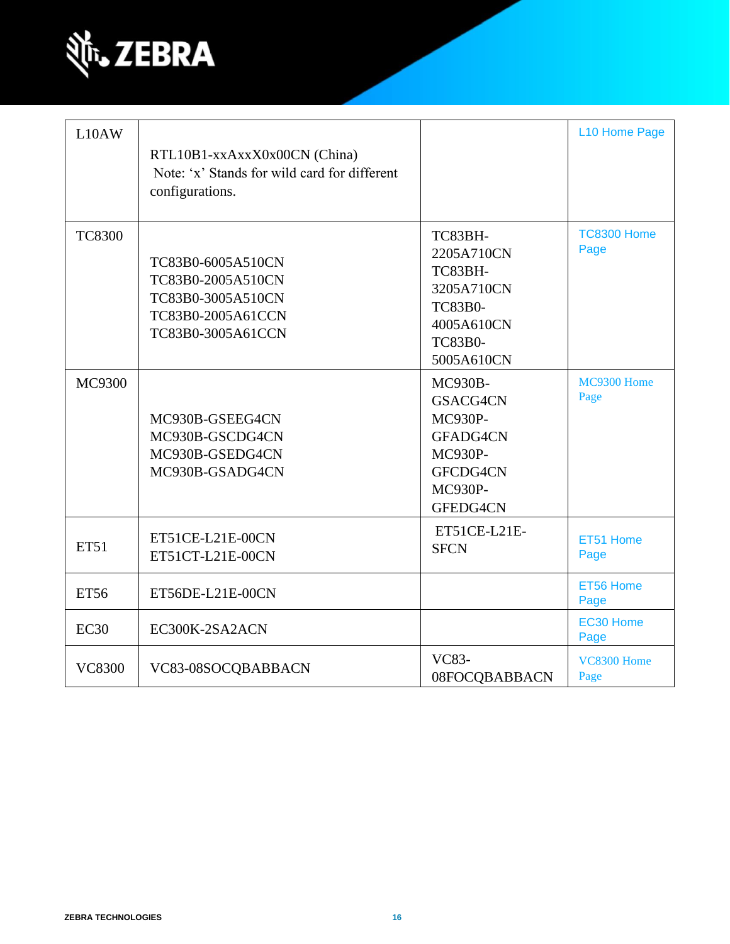

| L10AW         | RTL10B1-xxAxxX0x00CN (China)<br>Note: 'x' Stands for wild card for different<br>configurations.       |                                                                                                                      | L10 Home Page              |
|---------------|-------------------------------------------------------------------------------------------------------|----------------------------------------------------------------------------------------------------------------------|----------------------------|
| <b>TC8300</b> | TC83B0-6005A510CN<br>TC83B0-2005A510CN<br>TC83B0-3005A510CN<br>TC83B0-2005A61CCN<br>TC83B0-3005A61CCN | TC83BH-<br>2205A710CN<br>TC83BH-<br>3205A710CN<br><b>TC83B0-</b><br>4005A610CN<br><b>TC83B0-</b><br>5005A610CN       | <b>TC8300 Home</b><br>Page |
| MC9300        | MC930B-GSEEG4CN<br>MC930B-GSCDG4CN<br>MC930B-GSEDG4CN<br>MC930B-GSADG4CN                              | <b>MC930B-</b><br>GSACG4CN<br><b>MC930P-</b><br>GFADG4CN<br><b>MC930P-</b><br>GFCDG4CN<br><b>MC930P-</b><br>GFEDG4CN | MC9300 Home<br>Page        |
| <b>ET51</b>   | ET51CE-L21E-00CN<br>ET51CT-L21E-00CN                                                                  | ET51CE-L21E-<br><b>SFCN</b>                                                                                          | ET51 Home<br>Page          |
| <b>ET56</b>   | ET56DE-L21E-00CN                                                                                      |                                                                                                                      | ET56 Home<br>Page          |
| <b>EC30</b>   | EC300K-2SA2ACN                                                                                        |                                                                                                                      | EC30 Home<br>Page          |
| <b>VC8300</b> | VC83-08SOCQBABBACN                                                                                    | <b>VC83-</b><br>08FOCQBABBACN                                                                                        | VC8300 Home<br>Page        |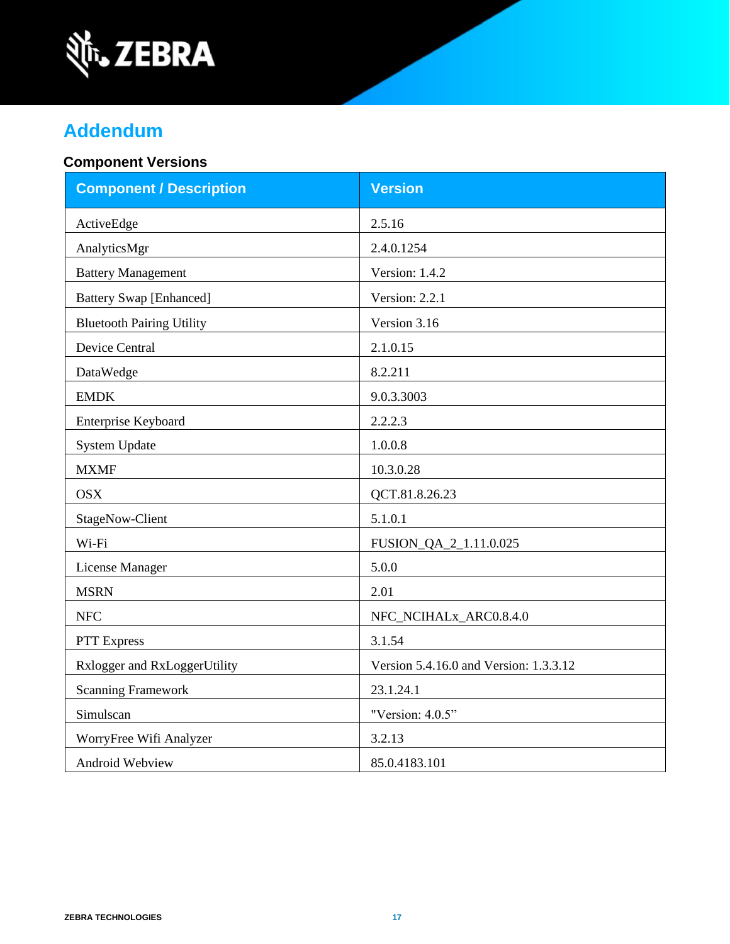

# **Addendum**

### **Component Versions**

| <b>Component / Description</b>   | <b>Version</b>                         |
|----------------------------------|----------------------------------------|
| ActiveEdge                       | 2.5.16                                 |
| AnalyticsMgr                     | 2.4.0.1254                             |
| <b>Battery Management</b>        | Version: 1.4.2                         |
| <b>Battery Swap [Enhanced]</b>   | Version: 2.2.1                         |
| <b>Bluetooth Pairing Utility</b> | Version 3.16                           |
| <b>Device Central</b>            | 2.1.0.15                               |
| DataWedge                        | 8.2.211                                |
| <b>EMDK</b>                      | 9.0.3.3003                             |
| Enterprise Keyboard              | 2.2.2.3                                |
| <b>System Update</b>             | 1.0.0.8                                |
| <b>MXMF</b>                      | 10.3.0.28                              |
| <b>OSX</b>                       | QCT.81.8.26.23                         |
| <b>StageNow-Client</b>           | 5.1.0.1                                |
| Wi-Fi                            | FUSION_QA_2_1.11.0.025                 |
| License Manager                  | 5.0.0                                  |
| <b>MSRN</b>                      | 2.01                                   |
| <b>NFC</b>                       | NFC_NCIHALx_ARC0.8.4.0                 |
| PTT Express                      | 3.1.54                                 |
| Rxlogger and RxLoggerUtility     | Version 5.4.16.0 and Version: 1.3.3.12 |
| <b>Scanning Framework</b>        | 23.1.24.1                              |
| Simulscan                        | "Version: 4.0.5"                       |
| WorryFree Wifi Analyzer          | 3.2.13                                 |
| Android Webview                  | 85.0.4183.101                          |